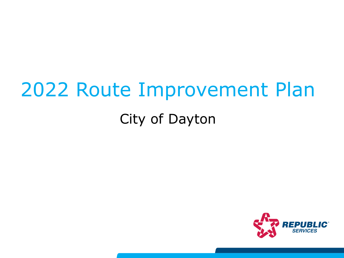# 2022 Route Improvement Plan

## City of Dayton

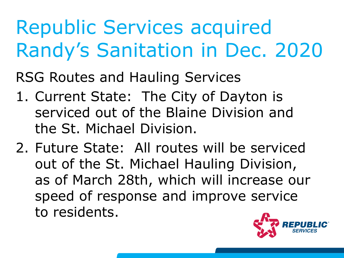# Republic Services acquired Randy's Sanitation in Dec. 2020

RSG Routes and Hauling Services

- 1. Current State: The City of Dayton is serviced out of the Blaine Division and the St. Michael Division.
- 2. Future State: All routes will be serviced out of the St. Michael Hauling Division, as of March 28th, which will increase our speed of response and improve service to residents.

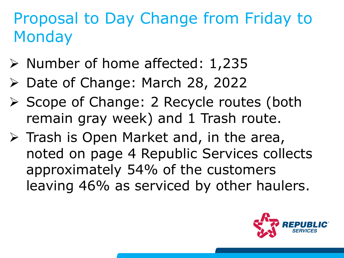## Proposal to Day Change from Friday to **Monday**

- $\triangleright$  Number of home affected: 1,235
- ▶ Date of Change: March 28, 2022
- ▶ Scope of Change: 2 Recycle routes (both remain gray week) and 1 Trash route.
- $\triangleright$  Trash is Open Market and, in the area, noted on page 4 Republic Services collects approximately 54% of the customers leaving 46% as serviced by other haulers.

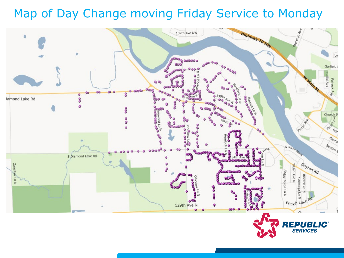## Map of Day Change moving Friday Service to Monday

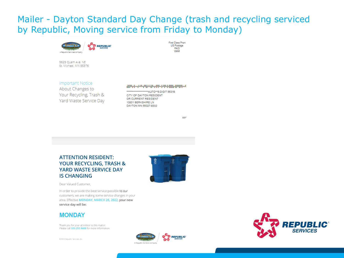### Mailer - Dayton Standard Day Change (trash and recycling serviced by Republic, Moving service from Friday to Monday)

**First Class Prart** 

US Postage PAID **WAM** 



5625 Ouam Ave. NE St. Michael, MN 55376

#### **Important Notice**

About Changes to Your Recycling, Trash & Yard Waste Service Day

#### different distribution of the different color

\*\*\*\*\*\*\*\*\*\*\*\*\*\*\*AUTO\*\*5-DIGIT 55316 CITY OF DAYTON RESIDENT OR CURRENT RESIDENT 13831 BERKSHIRE LN DAYTON MN 55327-9302

5307

#### **ATTENTION RESIDENT:** YOUR RECYCLING, TRASH & **YARD WASTE SERVICE DAY IS CHANGING**



Dear Valued Customer,

In order to provide the best service possible to our customers, we are making some service changes in your area. Effective MONDAY, MARCH 28, 2022, your new service day will be:

#### **MONDAY**

Thank you for your attention to this matter. Please call 320.252.9608 for more information.

@2022 Republic Services, Inc.



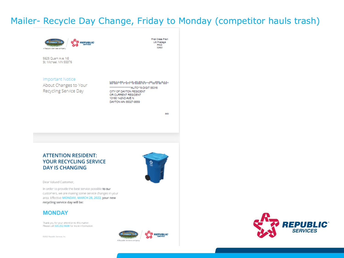### Mailer- Recycle Day Change, Friday to Monday (competitor hauls trash)

First Class Prart

US Postage PAID **WWW** 



5625 Quam Ave. NE St. Michael, MN 55376

#### **Important Notice**

About Changes to Your Recycling Service Day

#### htthhtdttp:hyldhdhdlhttp.orttmtlfbatchbc

"AUTO"S-DIGIT 55316 CITY OF DAYTON RESIDENT OR CURRENT RESIDENT 13160 142ND AVE N DAYTON MN 55327-9559

A Republic Services company

5952

#### **ATTENTION RESIDENT: YOUR RECYCLING SERVICE DAY IS CHANGING**



**REPUBLIC** 

Dear Valued Customer,

In order to provide the best service possible to our customers, we are making some service changes in your area. Effective MONDAY, MARCH 28, 2022, your new recycling service day will be:

#### **MONDAY**

Thank you for your attention to this matter. Please call 320.252.9608 for more information.

02022 Republic Services, Inc.

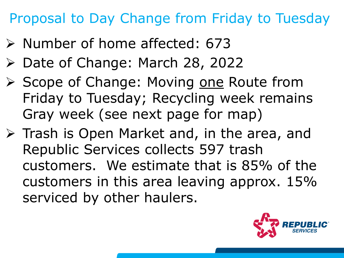## Proposal to Day Change from Friday to Tuesday

- $\triangleright$  Number of home affected: 673
- ▶ Date of Change: March 28, 2022
- ▶ Scope of Change: Moving one Route from Friday to Tuesday; Recycling week remains Gray week (see next page for map)
- $\triangleright$  Trash is Open Market and, in the area, and Republic Services collects 597 trash customers. We estimate that is 85% of the customers in this area leaving approx. 15% serviced by other haulers.

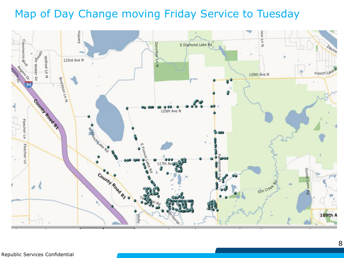## Map of Day Change moving Friday Service to Tuesday

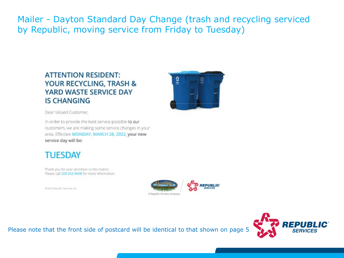Mailer - Dayton Standard Day Change (trash and recycling serviced by Republic, moving service from Friday to Tuesday)

### **ATTENTION RESIDENT:** YOUR RECYCLING, TRASH & YARD WASTE SERVICE DAY **IS CHANGING**



Dear Valued Customer,

In order to provide the best service possible to our customers, we are making some service changes in your area. Effective MONDAY, MARCH 28, 2022, your new service day will be:

### **TUESDAY**

Thank you for your attention to this matter. Please call 320,252,9608 for more information.

03032 Republic Services, Inc.



Please note that the front side of postcard will be identical to that shown on page 5

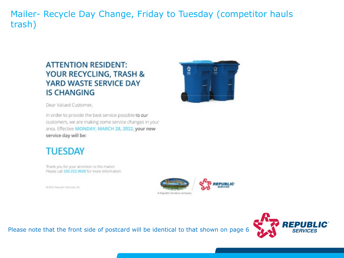Mailer- Recycle Day Change, Friday to Tuesday (competitor hauls trash)

### **ATTENTION RESIDENT:** YOUR RECYCLING, TRASH & **YARD WASTE SERVICE DAY IS CHANGING**



Dear Valued Customer,

In order to provide the best service possible to our customers, we are making some service changes in your area. Effective MONDAY, MARCH 28, 2022, your new service day will be:

## **TUESDAY**

Thank you for your attention to this matter. Please call 320,252,9608 for more information.

03022 Republic Services, Inc.



Please note that the front side of postcard will be identical to that shown on page 6

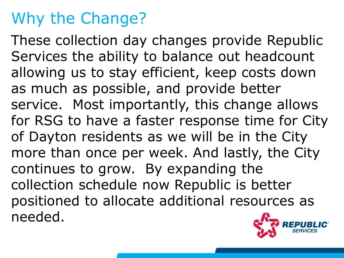## Why the Change?

These collection day changes provide Republic Services the ability to balance out headcount allowing us to stay efficient, keep costs down as much as possible, and provide better service. Most importantly, this change allows for RSG to have a faster response time for City of Dayton residents as we will be in the City more than once per week. And lastly, the City continues to grow. By expanding the collection schedule now Republic is better positioned to allocate additional resources as needed.